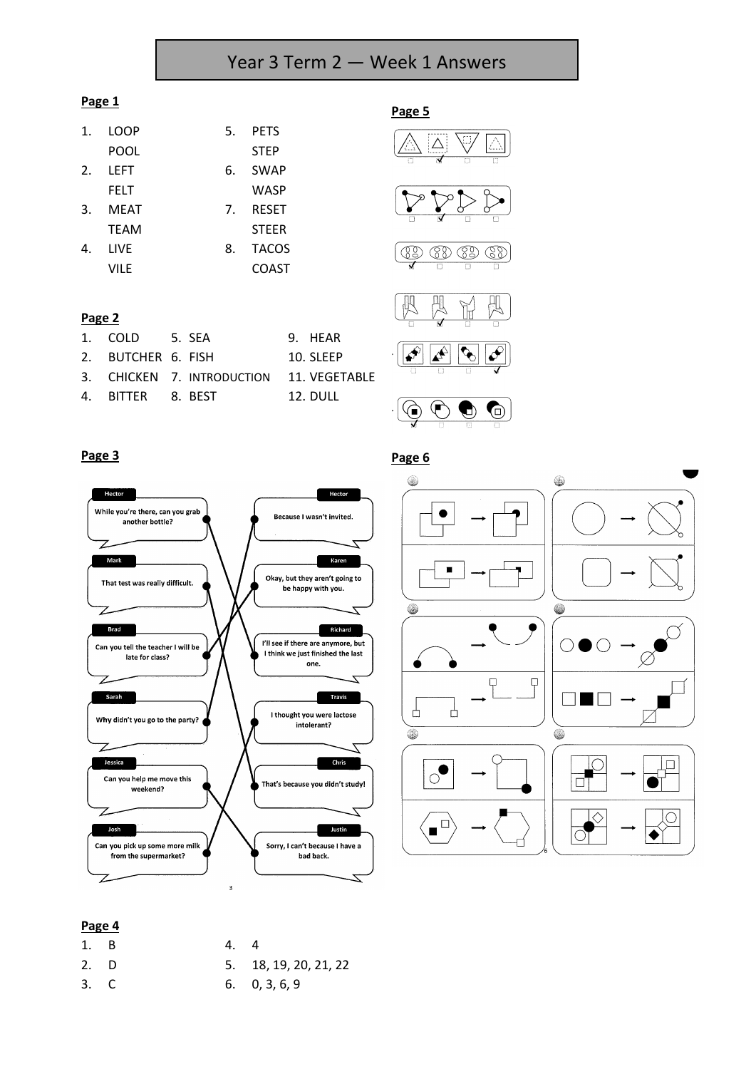# Year 3 Term 2 — Week 1 Answers

#### **Page 1**

| $\mathbf{1}$ . | LOOP        | 5.             | <b>PETS</b>  |
|----------------|-------------|----------------|--------------|
|                | POOL        |                | <b>STEP</b>  |
| 2.             | LEFT        | 6.             | <b>SWAP</b>  |
|                | FELT        |                | WASP         |
| 3.             | <b>MEAT</b> | 7 <sub>1</sub> | <b>RESET</b> |
|                | <b>TEAM</b> |                | <b>STEER</b> |
| 4.             | LIVE        | 8.             | <b>TACOS</b> |
|                | VILE        |                | COAST        |

1. COLD 5. SEA 9. HEAR 2. BUTCHER 6. FISH 10. SLEEP

4. BITTER 8. BEST 12. DULL

3. CHICKEN 7. INTRODUCTION 11. VEGETABLE

## **Page 5**











#### **Page 3**

**Page 2**





#### **Page 4**

| 1. B | 4. | - 4                   |
|------|----|-----------------------|
| 2. D |    | 5. 18, 19, 20, 21, 22 |
| 3. C |    | $6. \quad 0, 3, 6, 9$ |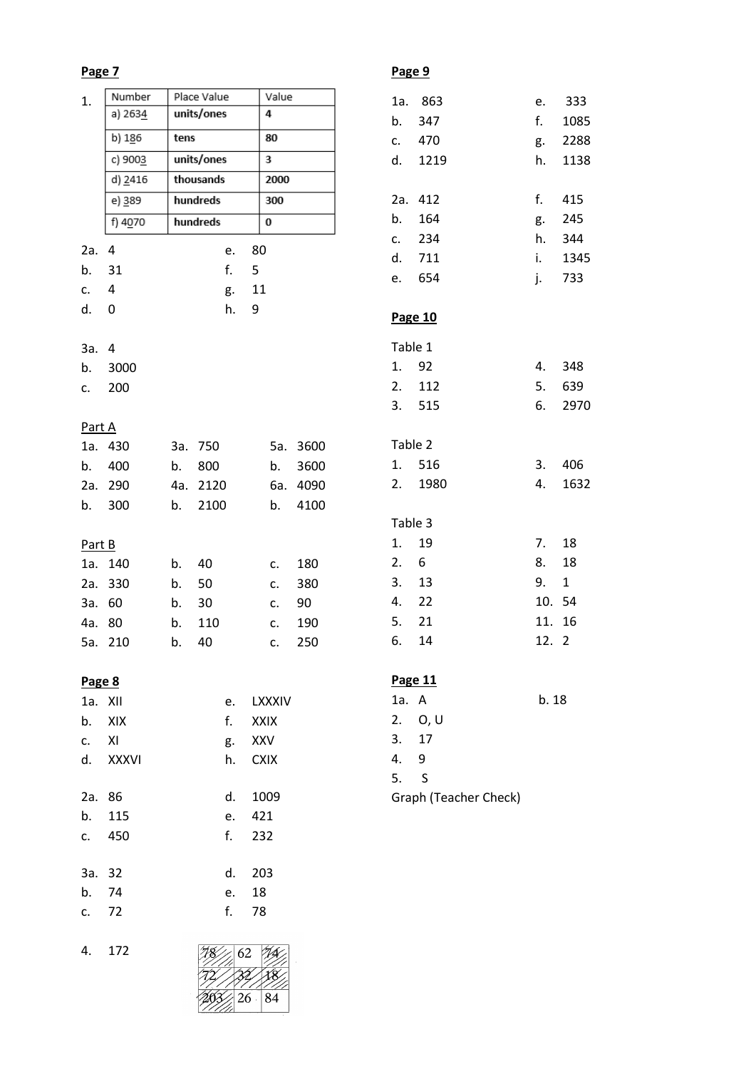| 1.      | Number             |      | Place Value    |       | Value       |            |  |
|---------|--------------------|------|----------------|-------|-------------|------------|--|
|         | a) 2634            |      | units/ones     |       | 4           |            |  |
|         | b) 186             | tens |                |       | 80          |            |  |
|         | c) 9003            |      | units/ones     |       | 3           |            |  |
|         | d) 2416            |      | thousands      |       | 2000        |            |  |
|         | e) 389             |      | hundreds       |       | 300         |            |  |
|         | f) 4070            |      | hundreds       |       | 0           |            |  |
| 2a. 4   |                    |      |                |       | 80          |            |  |
| b. 31   |                    |      | e.<br>f.       | 5     |             |            |  |
| c. 4    |                    |      |                | g. 11 |             |            |  |
| d.      | 0                  |      | h.             | 9     |             |            |  |
|         |                    |      |                |       |             |            |  |
| 3a. 4   |                    |      |                |       |             |            |  |
|         | b. 3000            |      |                |       |             |            |  |
| c.      | 200                |      |                |       |             |            |  |
|         |                    |      |                |       |             |            |  |
| Part A  |                    |      |                |       |             |            |  |
|         | 1a. 430            |      | 3a. 750        |       |             | 5a. 3600   |  |
|         | b. 400             |      | b. 800         |       | b.          | 3600       |  |
|         | 2a. 290            |      | 4a. 2120       |       |             | 6a. 4090   |  |
|         | b. 300             | b.   | 2100           |       | b.          | 4100       |  |
|         |                    |      |                |       |             |            |  |
| Part B  |                    |      |                |       |             |            |  |
|         | 1a. 140<br>2a. 330 |      | b. 40<br>b. 50 |       | c.<br>C.    | 180<br>380 |  |
|         | 3a. 60             | b.   | 30             |       | C.          | 90         |  |
|         | 4a. 80             | b.   | 110            |       | C.          | 190        |  |
|         | 5a. 210            | b.   | 40             |       | c.          | 250        |  |
|         |                    |      |                |       |             |            |  |
| Page 8  |                    |      |                |       |             |            |  |
| 1a. XII |                    |      |                |       | e. LXXXIV   |            |  |
|         | b. XIX             |      |                |       | f. XXIX     |            |  |
| c. XI   |                    |      | g.             |       | XXV         |            |  |
|         | d. XXXVI           |      | h.             |       | <b>CXIX</b> |            |  |
|         |                    |      |                |       |             |            |  |
| 2a. 86  |                    |      | d.             |       | 1009        |            |  |
| b.      | 115                |      | e.             |       | 421         |            |  |
| C.      | 450                |      | $f_{\star}$    |       | 232         |            |  |
| 3a. 32  |                    |      | d.             |       | 203         |            |  |
| b. 74   |                    |      | e.             |       | 18          |            |  |
| c. 72   |                    |      | $f_{\star}$    |       | 78          |            |  |
|         |                    |      |                |       |             |            |  |
|         |                    |      |                |       |             |            |  |

| $-0 - 0$ |         |        |         |
|----------|---------|--------|---------|
|          | 1a. 863 |        | e. 333  |
|          | b. 347  |        | f. 1085 |
|          | c. 470  |        | g. 2288 |
|          | d. 1219 |        | h. 1138 |
|          | 2a. 412 |        | f. 415  |
|          | b. 164  |        | g. 245  |
|          | c. 234  |        | h. 344  |
|          | d. 711  |        | i. 1345 |
|          | e. 654  |        | j. 733  |
|          | Page 10 |        |         |
| Table 1  |         |        |         |
| 1. 92    |         |        | 4. 348  |
|          | 2. 112  |        | 5. 639  |
|          | 3. 515  | 6.     | 2970    |
|          | Table 2 |        |         |
|          | 1. 516  |        | 3. 406  |
|          | 2. 1980 | 4.     | 1632    |
| Table 3  |         |        |         |
| 1. 19    |         | 7. 18  |         |
| 2.6      |         | 8. 18  |         |
| 3.13     |         | 9. 1   |         |
| 4. 22    |         | 10. 54 |         |
| 5. 21    |         | 11. 16 |         |
| 6. 14    |         | 12. 2  |         |
|          |         |        |         |

## **Page 11**

| 1a. A                 |         | b. 18 |  |  |
|-----------------------|---------|-------|--|--|
|                       | 2. O, U |       |  |  |
| 3.                    | - 17    |       |  |  |
| 4.                    | q       |       |  |  |
| 5.                    | -S      |       |  |  |
| Graph (Teacher Check) |         |       |  |  |

4. 172